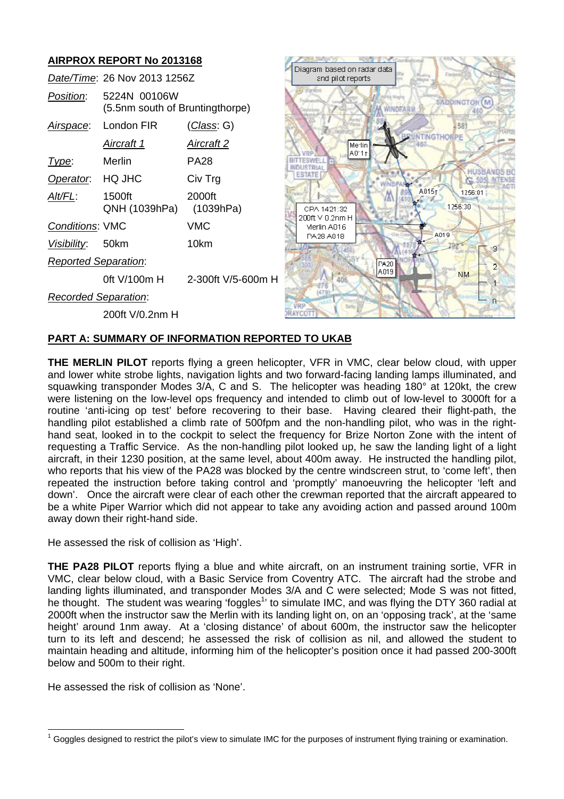# **AIRPROX REPORT No 2013168**

|                             | Date/Time: 26 Nov 2013 1256Z                    |                     | владнат мааса от наче<br>and pilot reports. |
|-----------------------------|-------------------------------------------------|---------------------|---------------------------------------------|
| Position:                   | 5224N 00106W<br>(5.5nm south of Bruntingthorpe) |                     |                                             |
| <u>Airspace:</u>            | London FIR                                      | <u>(Class</u> : G)  |                                             |
|                             | Aircraft 1                                      | <u>Aircraft 2</u>   | Me lin                                      |
| Type:                       | Merlin                                          | PA28                | A011                                        |
| Operator.                   | HQ JHC                                          | Civ Trg             | ESTATE                                      |
| Alt/FL:                     | 1500ft<br>QNH (1039hPa)                         | 2000ft<br>(1039hPa) | CPA 1421:32                                 |
| <b>Conditions: VMC</b>      |                                                 | VMC                 | 200ft V 0.2nm H<br>Merlin A016              |
| <u>Visibility</u>           | 50km                                            | 10km                | PA28 A018                                   |
| <b>Reported Separation:</b> |                                                 |                     |                                             |
|                             | 0ft V/100m H                                    | 2-300ft V/5-600m H  |                                             |
| <b>Recorded Separation:</b> |                                                 |                     |                                             |
|                             | 200ft V/0.2nm H                                 |                     |                                             |



# **PART A: SUMMARY OF INFORMATION REPORTED TO UKAB**

**THE MERLIN PILOT** reports flying a green helicopter, VFR in VMC, clear below cloud, with upper and lower white strobe lights, navigation lights and two forward-facing landing lamps illuminated, and squawking transponder Modes 3/A, C and S. The helicopter was heading 180° at 120kt, the crew were listening on the low-level ops frequency and intended to climb out of low-level to 3000ft for a routine 'anti-icing op test' before recovering to their base. Having cleared their flight-path, the handling pilot established a climb rate of 500fpm and the non-handling pilot, who was in the righthand seat, looked in to the cockpit to select the frequency for Brize Norton Zone with the intent of requesting a Traffic Service. As the non-handling pilot looked up, he saw the landing light of a light aircraft, in their 1230 position, at the same level, about 400m away. He instructed the handling pilot, who reports that his view of the PA28 was blocked by the centre windscreen strut, to 'come left', then repeated the instruction before taking control and 'promptly' manoeuvring the helicopter 'left and down'. Once the aircraft were clear of each other the crewman reported that the aircraft appeared to be a white Piper Warrior which did not appear to take any avoiding action and passed around 100m away down their right-hand side.

He assessed the risk of collision as 'High'.

**THE PA28 PILOT** reports flying a blue and white aircraft, on an instrument training sortie, VFR in VMC, clear below cloud, with a Basic Service from Coventry ATC. The aircraft had the strobe and landing lights illuminated, and transponder Modes 3/A and C were selected; Mode S was not fitted, he thought. The student was wearing 'foggles<sup>1</sup>' to simulate IMC, and was flying the DTY 360 radial at 2000ft when the instructor saw the Merlin with its landing light on, on an 'opposing track', at the 'same height' around 1nm away. At a 'closing distance' of about 600m, the instructor saw the helicopter turn to its left and descend; he assessed the risk of collision as nil, and allowed the student to maintain heading and altitude, informing him of the helicopter's position once it had passed 200-300ft below and 500m to their right.

He assessed the risk of collision as 'None'.

 $1$  Goggles designed to restrict the pilot's view to simulate IMC for the purposes of instrument flying training or examination.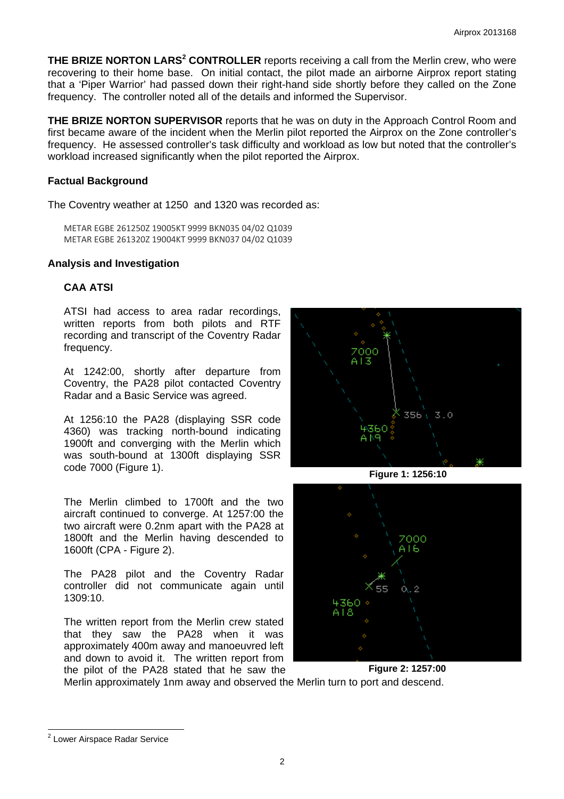**THE BRIZE NORTON LARS<sup>2</sup> CONTROLLER** reports receiving a call from the Merlin crew, who were recovering to their home base. On initial contact, the pilot made an airborne Airprox report stating that a 'Piper Warrior' had passed down their right-hand side shortly before they called on the Zone frequency. The controller noted all of the details and informed the Supervisor.

**THE BRIZE NORTON SUPERVISOR** reports that he was on duty in the Approach Control Room and first became aware of the incident when the Merlin pilot reported the Airprox on the Zone controller's frequency. He assessed controller's task difficulty and workload as low but noted that the controller's workload increased significantly when the pilot reported the Airprox.

#### **Factual Background**

The Coventry weather at 1250 and 1320 was recorded as:

METAR EGBE 261250Z 19005KT 9999 BKN035 04/02 Q1039 METAR EGBE 261320Z 19004KT 9999 BKN037 04/02 Q1039

# **Analysis and Investigation**

# **CAA ATSI**

ATSI had access to area radar recordings, written reports from both pilots and RTF recording and transcript of the Coventry Radar frequency.

At 1242:00, shortly after departure from Coventry, the PA28 pilot contacted Coventry Radar and a Basic Service was agreed.

At 1256:10 the PA28 (displaying SSR code 4360) was tracking north-bound indicating 1900ft and converging with the Merlin which was south-bound at 1300ft displaying SSR code 7000 (Figure 1).

The Merlin climbed to 1700ft and the two aircraft continued to converge. At 1257:00 the two aircraft were 0.2nm apart with the PA28 at 1800ft and the Merlin having descended to 1600ft (CPA - Figure 2).

The PA28 pilot and the Coventry Radar controller did not communicate again until 1309:10.

The written report from the Merlin crew stated that they saw the PA28 when it was approximately 400m away and manoeuvred left and down to avoid it. The written report from the pilot of the PA28 stated that he saw the



**Figure 1: 1256:10** 



**Figure 2: 1257:00** 

Merlin approximately 1nm away and observed the Merlin turn to port and descend.

 2 Lower Airspace Radar Service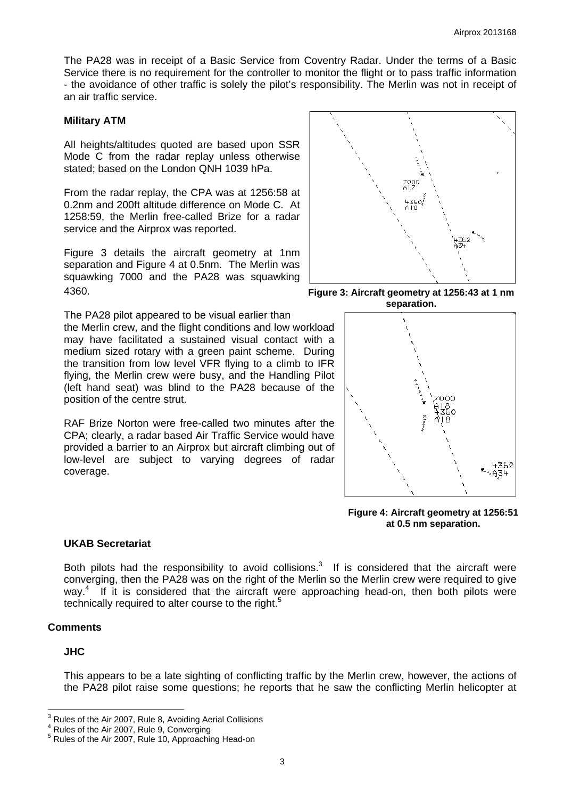The PA28 was in receipt of a Basic Service from Coventry Radar. Under the terms of a Basic Service there is no requirement for the controller to monitor the flight or to pass traffic information - the avoidance of other traffic is solely the pilot's responsibility. The Merlin was not in receipt of an air traffic service.

#### **Military ATM**

All heights/altitudes quoted are based upon SSR Mode C from the radar replay unless otherwise stated; based on the London QNH 1039 hPa.

From the radar replay, the CPA was at 1256:58 at 0.2nm and 200ft altitude difference on Mode C. At 1258:59, the Merlin free-called Brize for a radar service and the Airprox was reported.

Figure 3 details the aircraft geometry at 1nm separation and Figure 4 at 0.5nm. The Merlin was squawking 7000 and the PA28 was squawking 4360.

The PA28 pilot appeared to be visual earlier than the Merlin crew, and the flight conditions and low workload may have facilitated a sustained visual contact with a medium sized rotary with a green paint scheme. During the transition from low level VFR flying to a climb to IFR flying, the Merlin crew were busy, and the Handling Pilot (left hand seat) was blind to the PA28 because of the position of the centre strut.

RAF Brize Norton were free-called two minutes after the CPA; clearly, a radar based Air Traffic Service would have provided a barrier to an Airprox but aircraft climbing out of low-level are subject to varying degrees of radar coverage.



**Figure 3: Aircraft geometry at 1256:43 at 1 nm separation.** 



**Figure 4: Aircraft geometry at 1256:51 at 0.5 nm separation.** 

# **UKAB Secretariat**

Both pilots had the responsibility to avoid collisions.<sup>3</sup> If is considered that the aircraft were converging, then the PA28 was on the right of the Merlin so the Merlin crew were required to give way.<sup>4</sup> If it is considered that the aircraft were approaching head-on, then both pilots were technically required to alter course to the right.<sup>5</sup>

# **Comments**

# **JHC**

This appears to be a late sighting of conflicting traffic by the Merlin crew, however, the actions of the PA28 pilot raise some questions; he reports that he saw the conflicting Merlin helicopter at

 $3<sup>3</sup>$  Rules of the Air 2007, Rule 8, Avoiding Aerial Collisions

 $^4$  Rules of the Air 2007, Rule 9, Converging<br>  $^5$  Rules of the Air 2007, Rule 10, Approaching

Rules of the Air 2007, Rule 10, Approaching Head-on